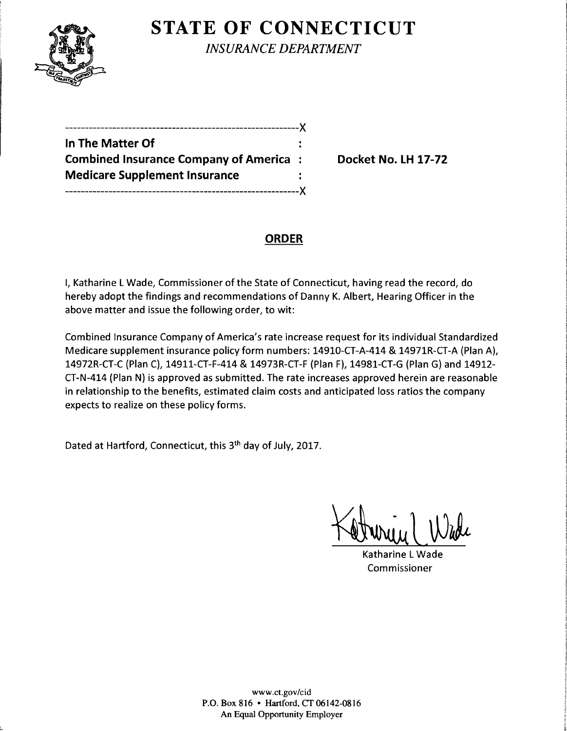

L

**STATE OF CONNECTICUT** 

*INSURANCE DEPARTMENT* 

| --------------                                |  |
|-----------------------------------------------|--|
| In The Matter Of                              |  |
| <b>Combined Insurance Company of America:</b> |  |
| <b>Medicare Supplement Insurance</b>          |  |
|                                               |  |

**Combined Insurance Company of America** : **Docket No. LH 17-72** 

## **ORDER**

I, Katharine L Wade, Commissioner of the State of Connecticut, having read the record, do hereby adopt the findings and recommendations of Danny K. Albert, Hearing Officer in the above matter and issue the following order, to wit:

Combined Insurance Company of America's rate increase request for its individual Standardized Medicare supplement insurance policy form numbers: 14910-CT-A-414 & 14971R-CT-A (Plan A), 14972R-CT-C (Plan C), 14911-CT-F-414 & 14973R-CT-F (Plan F), 14981-CT-G (Plan G) and 14912 CT-N-414 (Plan N) is approved as submitted. The rate increases approved herein are reasonable in relationship to the benefits, estimated claim costs and anticipated loss ratios the company expects to realize on these policy forms.

Dated at Hartford, Connecticut, this 3<sup>th</sup> day of July, 2017.

Katharine L Wade Commissioner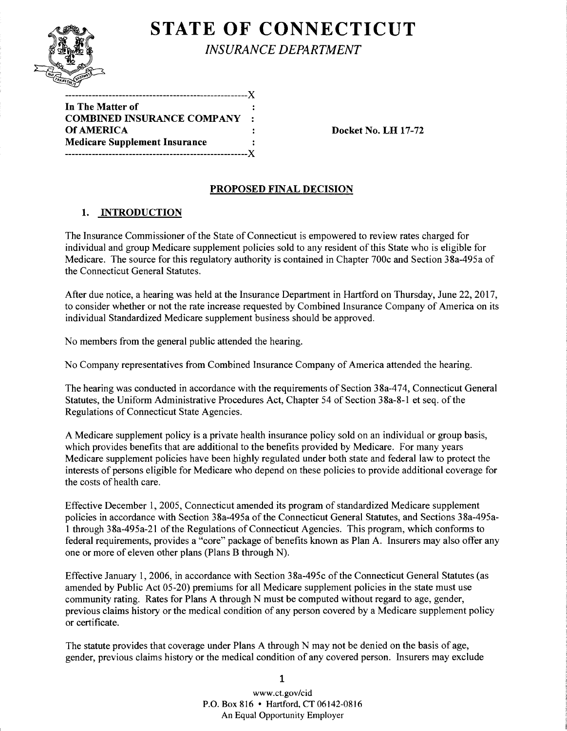

# **STATE OF CONNECTICUT**

*INSURANCE DEPARTMENT* 

| In The Matter of                     |                |
|--------------------------------------|----------------|
| <b>COMBINED INSURANCE COMPANY</b>    | $\mathbb{R}^n$ |
| <b>Of AMERICA</b>                    |                |
| <b>Medicare Supplement Insurance</b> |                |
|                                      |                |

Docket No. LH 17-72

## PROPOSED FINAL DECISION

## 1. INTRODUCTION

The Insurance Commissioner of the State of Connecticut is empowered to review rates charged for individual and group Medicare supplement policies sold to any resident of this State who is eligible for Medicare. The source for this regulatory authority is contained in Chapter 700c and Section 38a-495a of the Connecticut General Statutes.

After due notice, a hearing was held at the Insurance Department in Hartford on Thursday, June 22, 2017, to consider whether or not the rate increase requested by Combined Insurance Company of America on its individual Standardized Medicare supplement business should be approved.

No members from the general public attended the hearing.

No Company representatives from Combined Insurance Company of America attended the hearing.

The hearing was conducted in accordance with the requirements of Section 38a-474, Connecticut General Statutes, the Uniform Administrative Procedures Act, Chapter 54 of Section 38a-8-1 et seq. of the Regulations of Connecticut State Agencies.

A Medicare supplement policy is a private health insurance policy sold on an individual or group basis, which provides benefits that are additional to the benefits provided by Medicare. For many years Medicare supplement policies have been highly regulated under both state and federal law to protect the interests of persons eligible for Medicare who depend on these policies to provide additional coverage for the costs of health care.

Effective December 1, 2005, Connecticut amended its program of standardized Medicare supplement policies in accordance with Section 38a-495a of the Connecticut General Statutes, and Sections 38a-495a-1 through 38a-495a-21 ofthe Regulations of Connecticut Agencies. This program, which conforms to federal requirements, provides a "core" package of benefits known as Plan A. Insurers may also offer any one or more of eleven other plans (Plans B through N).

Effective January 1, 2006, in accordance with Section 38a-495c of the Connecticut General Statutes (as amended by Public Act 05-20) premiums for all Medicare supplement policies in the state must use community rating. Rates for Plans A through N must be computed without regard to age, gender, previous claims history or the medical condition of any person covered by a Medicare supplement policy or certificate.

The statute provides that coverage under Plans A through N may not be denied on the basis of age, gender, previous claims history or the medical condition of any covered person. Insurers may exclude

> www.ct.gov /cid P.O. Box 816 • Hartford, CT 06142-0816 An Equal Opportunity Employer

1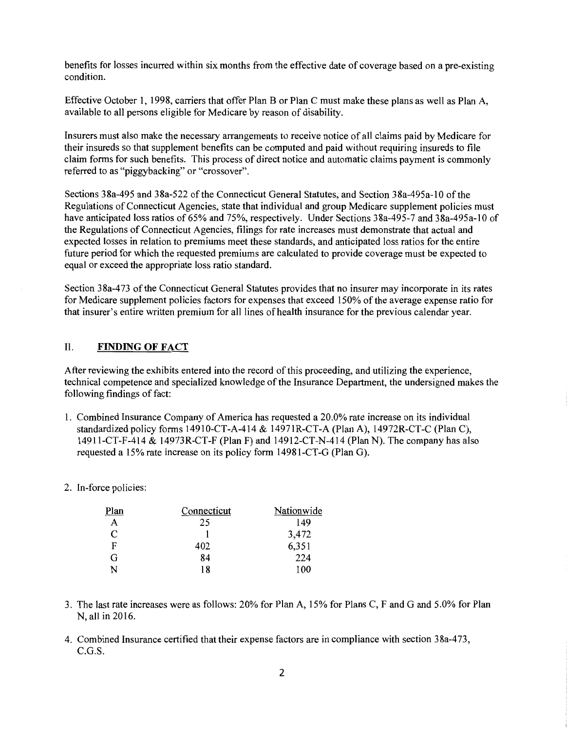benefits for losses incurred within six months from the effective date of coverage based on a pre-existing condition.

Effective October 1, 1998, carriers that offer Plan B or Plan C must make these plans as well as Plan A, available to all persons eligible for Medicare by reason of disability.

Insurers must also make the necessary arrangements to receive notice of all claims paid by Medicare for their insureds so that supplement benefits can be computed and paid without requiring insureds to file claim forms for such benefits. This process of direct notice and automatic claims payment is commonly referred to as "piggybacking" or "crossover".

Sections 38a-495 and 38a-522 of the Connecticut General Statutes, and Section 38a-495a-10 of the Regulations of Connecticut Agencies, state that individual and group Medicare supplement policies must have anticipated loss ratios of 65% and 75%, respectively. Under Sections 38a-495-7 and 38a-495a-10 of the Regulations of Connecticut Agencies, filings for rate increases must demonstrate that actual and expected losses in relation to premiums meet these standards, and anticipated loss ratios for the entire future period for which the requested premiums are calculated to provide coverage must be expected to equal or exceed the appropriate loss ratio standard.

Section 38a-473 of the Connecticut General Statutes provides that no insurer may incorporate in its rates for Medicare supplement policies factors for expenses that exceed 150% of the average expense ratio for that insurer's entire written premium for all lines of health insurance for the previous calendar year.

#### II. **FINDING OF FACT**

After reviewing the exhibits entered into the record of this proceeding, and utilizing the experience, technical competence and specialized knowledge of the Insurance Department, the undersigned makes the following findings of fact:

- 1. Combined Insurance Company of America has requested a 20.0% rate increase on its individual standardized policy forms 14910-CT-A-414 & 14971R-CT-A (Plan A), 14972R-CT-C (Plan C), 14911-CT-F-414 & 14973R-CT-F (Plan F) and 14912-CT-N-414 (Plan N). The company has also requested a 15% rate increase on its policy form 14981-CT-G (Plan G).
- 2. In-force policies:

| Plan | Connecticut | Nationwide |
|------|-------------|------------|
| A    | 25          | 149        |
| C    |             | 3,472      |
| F    | 402         | 6,351      |
| G    | 84          | 224        |
| N    | 18          | 100        |

- 3. The last rate increases were as follows: 20% for Plan A, 15% for Plans C, F and G and 5.0% for Plan N, all in 2016.
- 4. Combined Insurance certified that their expense factors are in compliance with section 38a-473, C.G.S.